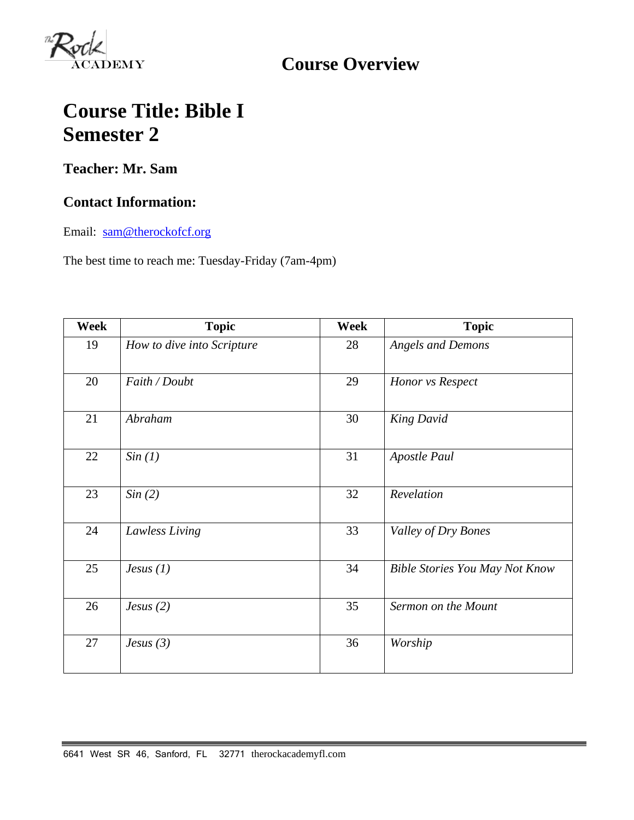

**Course Overview**

# **Course Title: Bible I Semester 2**

## **Teacher: Mr. Sam**

### **Contact Information:**

Email: [sam@therockofcf.org](mailto:sam@therockofcf.org)

The best time to reach me: Tuesday-Friday (7am-4pm)

| Week | <b>Topic</b>               | Week | <b>Topic</b>                          |
|------|----------------------------|------|---------------------------------------|
| 19   | How to dive into Scripture | 28   | <b>Angels and Demons</b>              |
| 20   | Faith / Doubt              | 29   | Honor vs Respect                      |
| 21   | Abraham                    | 30   | <b>King David</b>                     |
| 22   | Sin(1)                     | 31   | <b>Apostle Paul</b>                   |
| 23   | Sin(2)                     | 32   | Revelation                            |
| 24   | Lawless Living             | 33   | Valley of Dry Bones                   |
| 25   | Jesus $(1)$                | 34   | <b>Bible Stories You May Not Know</b> |
| 26   | Jesus $(2)$                | 35   | Sermon on the Mount                   |
| 27   | Jesus $(3)$                | 36   | Worship                               |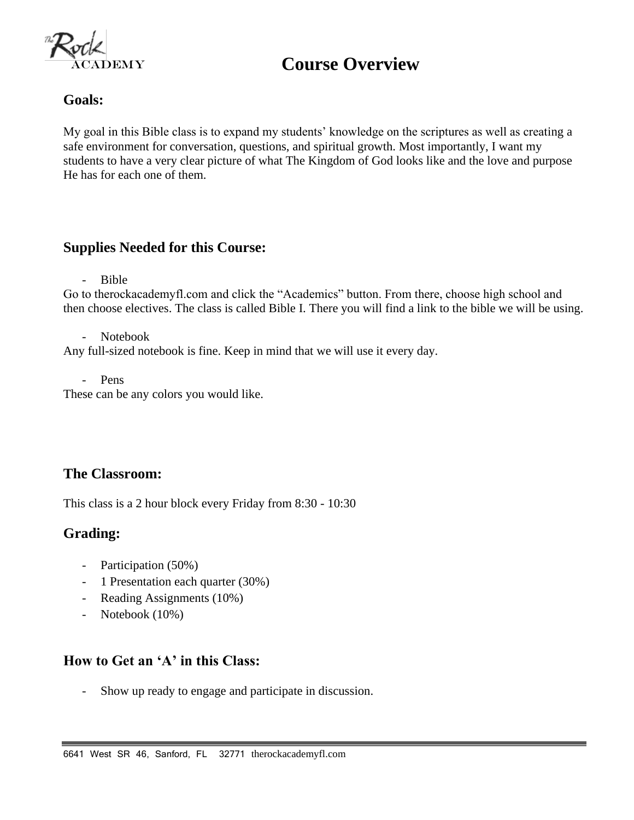

## **Course Overview**

#### **Goals:**

My goal in this Bible class is to expand my students' knowledge on the scriptures as well as creating a safe environment for conversation, questions, and spiritual growth. Most importantly, I want my students to have a very clear picture of what The Kingdom of God looks like and the love and purpose He has for each one of them.

#### **Supplies Needed for this Course:**

- Bible

Go to therockacademyfl.com and click the "Academics" button. From there, choose high school and then choose electives. The class is called Bible I. There you will find a link to the bible we will be using.

- Notebook

Any full-sized notebook is fine. Keep in mind that we will use it every day.

- Pens

These can be any colors you would like.

### **The Classroom:**

This class is a 2 hour block every Friday from 8:30 - 10:30

### **Grading:**

- Participation (50%)
- 1 Presentation each quarter (30%)
- Reading Assignments (10%)
- Notebook (10%)

### **How to Get an 'A' in this Class:**

- Show up ready to engage and participate in discussion.